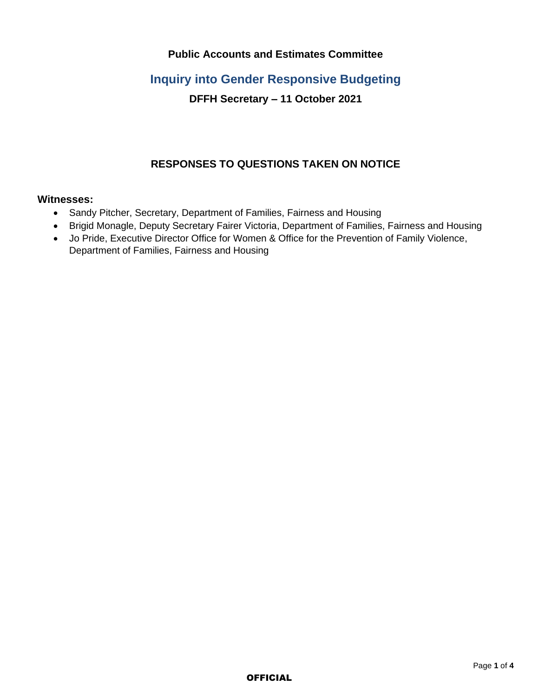## **Public Accounts and Estimates Committee**

# **Inquiry into Gender Responsive Budgeting**

# **DFFH Secretary – 11 October 2021**

# **RESPONSES TO QUESTIONS TAKEN ON NOTICE**

### **Witnesses:**

- Sandy Pitcher, Secretary, Department of Families, Fairness and Housing
- Brigid Monagle, Deputy Secretary Fairer Victoria, Department of Families, Fairness and Housing
- Jo Pride, Executive Director Office for Women & Office for the Prevention of Family Violence, Department of Families, Fairness and Housing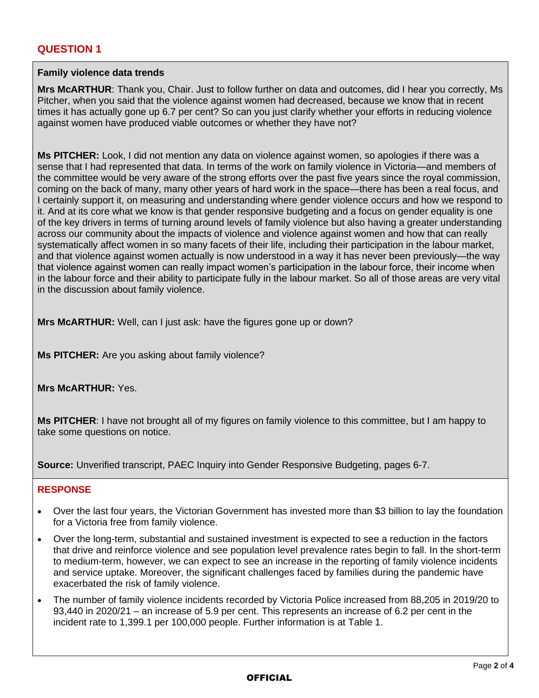# **QUESTION 1**

#### **Family violence data trends**

**Mrs McARTHUR**: Thank you, Chair. Just to follow further on data and outcomes, did I hear you correctly, Ms Pitcher, when you said that the violence against women had decreased, because we know that in recent times it has actually gone up 6.7 per cent? So can you just clarify whether your efforts in reducing violence against women have produced viable outcomes or whether they have not?

**Ms PITCHER:** Look, I did not mention any data on violence against women, so apologies if there was a sense that I had represented that data. In terms of the work on family violence in Victoria—and members of the committee would be very aware of the strong efforts over the past five years since the royal commission, coming on the back of many, many other years of hard work in the space—there has been a real focus, and I certainly support it, on measuring and understanding where gender violence occurs and how we respond to it. And at its core what we know is that gender responsive budgeting and a focus on gender equality is one of the key drivers in terms of turning around levels of family violence but also having a greater understanding across our community about the impacts of violence and violence against women and how that can really systematically affect women in so many facets of their life, including their participation in the labour market, and that violence against women actually is now understood in a way it has never been previously—the way that violence against women can really impact women's participation in the labour force, their income when in the labour force and their ability to participate fully in the labour market. So all of those areas are very vital in the discussion about family violence.

**Mrs McARTHUR:** Well, can I just ask: have the figures gone up or down?

**Ms PITCHER:** Are you asking about family violence?

**Mrs McARTHUR:** Yes.

**Ms PITCHER**: I have not brought all of my figures on family violence to this committee, but I am happy to take some questions on notice.

**Source:** Unverified transcript, PAEC Inquiry into Gender Responsive Budgeting, pages 6-7.

## **RESPONSE**

- Over the last four years, the Victorian Government has invested more than \$3 billion to lay the foundation for a Victoria free from family violence.
- Over the long-term, substantial and sustained investment is expected to see a reduction in the factors that drive and reinforce violence and see population level prevalence rates begin to fall. In the short-term to medium-term, however, we can expect to see an increase in the reporting of family violence incidents and service uptake. Moreover, the significant challenges faced by families during the pandemic have exacerbated the risk of family violence.
- The number of family violence incidents recorded by Victoria Police increased from 88,205 in 2019/20 to 93,440 in 2020/21 – an increase of 5.9 per cent. This represents an increase of 6.2 per cent in the incident rate to 1,399.1 per 100,000 people. Further information is at Table 1.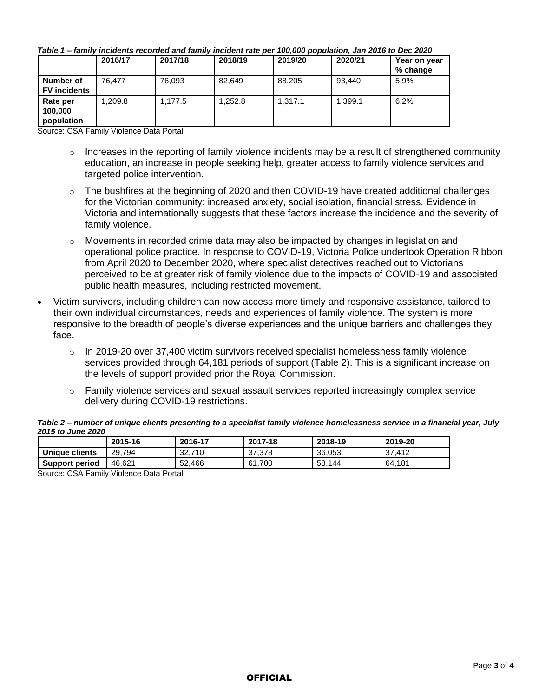| Table 1 – family incidents recorded and family incident rate per 100,000 population, Jan 2016 to Dec 2020 |         |         |         |         |         |                          |  |  |  |
|-----------------------------------------------------------------------------------------------------------|---------|---------|---------|---------|---------|--------------------------|--|--|--|
|                                                                                                           | 2016/17 | 2017/18 | 2018/19 | 2019/20 | 2020/21 | Year on year<br>% change |  |  |  |
| Number of<br><b>FV</b> incidents                                                                          | 76.477  | 76.093  | 82.649  | 88.205  | 93.440  | 5.9%                     |  |  |  |
| Rate per<br>100,000<br>population                                                                         | .209.8  | 1.177.5 | 1.252.8 | 1.317.1 | 1.399.1 | 6.2%                     |  |  |  |

Source: CSA Family Violence Data Portal

- $\circ$  Increases in the reporting of family violence incidents may be a result of strengthened community education, an increase in people seeking help, greater access to family violence services and targeted police intervention.
- $\circ$  The bushfires at the beginning of 2020 and then COVID-19 have created additional challenges for the Victorian community: increased anxiety, social isolation, financial stress. Evidence in Victoria and internationally suggests that these factors increase the incidence and the severity of family violence.
- $\circ$  Movements in recorded crime data may also be impacted by changes in legislation and operational police practice. In response to COVID-19, Victoria Police undertook Operation Ribbon from April 2020 to December 2020, where specialist detectives reached out to Victorians perceived to be at greater risk of family violence due to the impacts of COVID-19 and associated public health measures, including restricted movement.
- Victim survivors, including children can now access more timely and responsive assistance, tailored to their own individual circumstances, needs and experiences of family violence. The system is more responsive to the breadth of people's diverse experiences and the unique barriers and challenges they face.
	- $\circ$  In 2019-20 over 37,400 victim survivors received specialist homelessness family violence services provided through 64,181 periods of support (Table 2). This is a significant increase on the levels of support provided prior the Royal Commission.
	- $\circ$  Family violence services and sexual assault services reported increasingly complex service delivery during COVID-19 restrictions.

*Table 2 – number of unique clients presenting to a specialist family violence homelessness service in a financial year, July 2015 to June 2020*

|                                         | 2015-16 | 2016-17 | 2017-18 | 2018-19 | 2019-20 |  |  |  |
|-----------------------------------------|---------|---------|---------|---------|---------|--|--|--|
| Unique clients                          | 29.794  | 32,710  | 37,378  | 36,053  | 37.412  |  |  |  |
| <b>Support period</b>                   | 46.621  | 52.466  | 61.700  | 58.144  | 64.181  |  |  |  |
| Source: CSA Family Violence Data Portal |         |         |         |         |         |  |  |  |